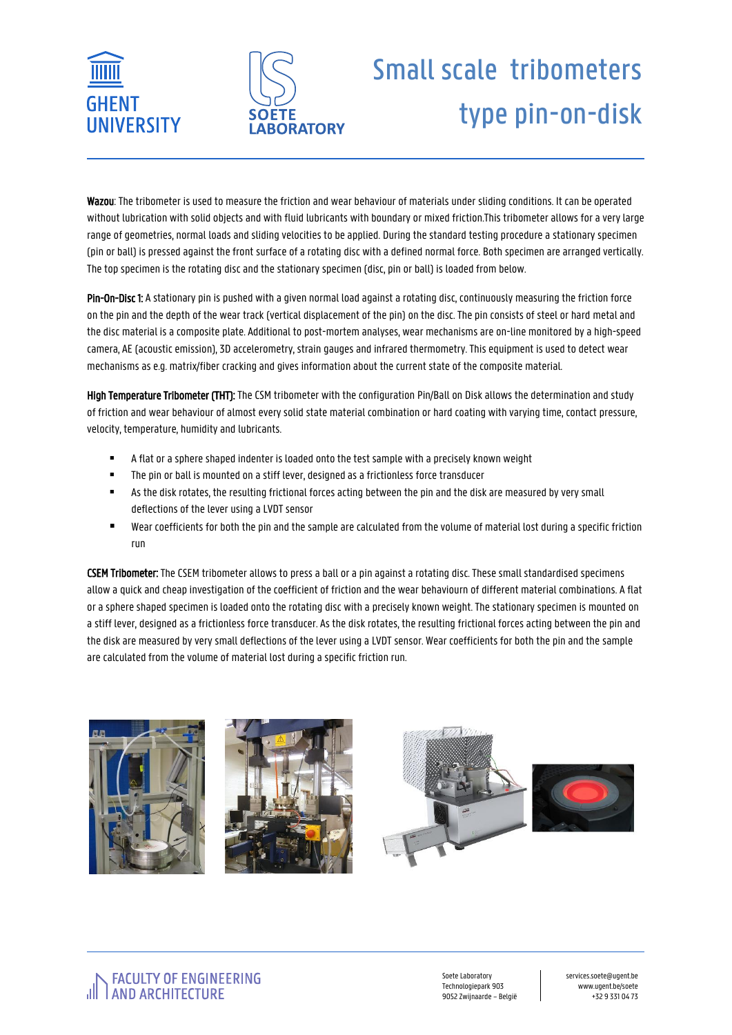



## Small scale tribometers type pin-on-disk

Wazou: The tribometer is used to measure the friction and wear behaviour of materials under sliding conditions. It can be operated without lubrication with solid objects and with fluid lubricants with boundary or mixed friction.This tribometer allows for a very large range of geometries, normal loads and sliding velocities to be applied. During the standard testing procedure a stationary specimen (pin or ball) is pressed against the front surface of a rotating disc with a defined normal force. Both specimen are arranged vertically. The top specimen is the rotating disc and the stationary specimen (disc, pin or ball) is loaded from below.

Pin-On-Disc 1: A stationary pin is pushed with a given normal load against a rotating disc, continuously measuring the friction force on the pin and the depth of the wear track (vertical displacement of the pin) on the disc. The pin consists of steel or hard metal and the disc material is a composite plate. Additional to post-mortem analyses, wear mechanisms are on-line monitored by a high-speed camera, AE (acoustic emission), 3D accelerometry, strain gauges and infrared thermometry. This equipment is used to detect wear mechanisms as e.g. matrix/fiber cracking and gives information about the current state of the composite material.

High Temperature Tribometer (THT): The CSM tribometer with the configuration Pin/Ball on Disk allows the determination and study of friction and wear behaviour of almost every solid state material combination or hard coating with varying time, contact pressure, velocity, temperature, humidity and lubricants.

- A flat or a sphere shaped indenter is loaded onto the test sample with a precisely known weight
- The pin or ball is mounted on a stiff lever, designed as a frictionless force transducer
- As the disk rotates, the resulting frictional forces acting between the pin and the disk are measured by very small deflections of the lever using a LVDT sensor
- Wear coefficients for both the pin and the sample are calculated from the volume of material lost during a specific friction run

CSEM Tribometer: The CSEM tribometer allows to press a ball or a pin against a rotating disc. These small standardised specimens allow a quick and cheap investigation of the coefficient of friction and the wear behaviourn of different material combinations. A flat or a sphere shaped specimen is loaded onto the rotating disc with a precisely known weight. The stationary specimen is mounted on a stiff lever, designed as a frictionless force transducer. As the disk rotates, the resulting frictional forces acting between the pin and the disk are measured by very small deflections of the lever using a LVDT sensor. Wear coefficients for both the pin and the sample are calculated from the volume of material lost during a specific friction run.